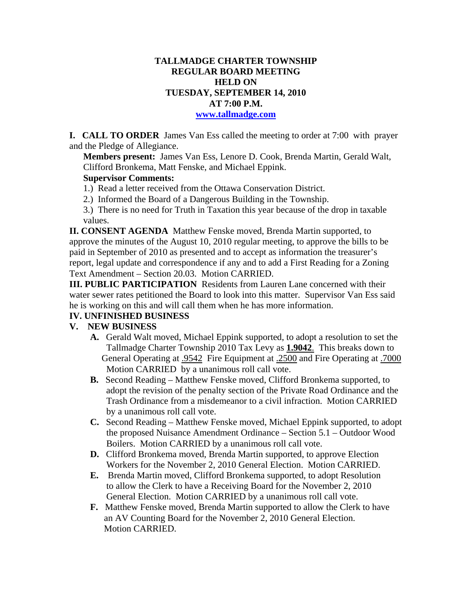# **TALLMADGE CHARTER TOWNSHIP REGULAR BOARD MEETING HELD ON TUESDAY, SEPTEMBER 14, 2010 AT 7:00 P.M.**

#### **www.tallmadge.com**

**I. CALL TO ORDER** James Van Ess called the meeting to order at 7:00 with prayer and the Pledge of Allegiance.

**Members present:** James Van Ess, Lenore D. Cook, Brenda Martin, Gerald Walt, Clifford Bronkema, Matt Fenske, and Michael Eppink.

#### **Supervisor Comments:**

- 1.) Read a letter received from the Ottawa Conservation District.
- 2.) Informed the Board of a Dangerous Building in the Township.
- 3.) There is no need for Truth in Taxation this year because of the drop in taxable values.

**II. CONSENT AGENDA** Matthew Fenske moved, Brenda Martin supported, to approve the minutes of the August 10, 2010 regular meeting, to approve the bills to be paid in September of 2010 as presented and to accept as information the treasurer's report, legal update and correspondence if any and to add a First Reading for a Zoning Text Amendment – Section 20.03. Motion CARRIED.

**III. PUBLIC PARTICIPATION** Residents from Lauren Lane concerned with their water sewer rates petitioned the Board to look into this matter. Supervisor Van Ess said he is working on this and will call them when he has more information.

# **IV. UNFINISHED BUSINESS**

### **V. NEW BUSINESS**

- **A.** Gerald Walt moved, Michael Eppink supported, to adopt a resolution to set the Tallmadge Charter Township 2010 Tax Levy as **1.9042**. This breaks down to General Operating at .9542 Fire Equipment at .2500 and Fire Operating at .7000 Motion CARRIED by a unanimous roll call vote.
- **B.** Second Reading Matthew Fenske moved, Clifford Bronkema supported, to adopt the revision of the penalty section of the Private Road Ordinance and the Trash Ordinance from a misdemeanor to a civil infraction. Motion CARRIED by a unanimous roll call vote.
- **C.** Second Reading Matthew Fenske moved, Michael Eppink supported, to adopt the proposed Nuisance Amendment Ordinance – Section 5.1 – Outdoor Wood Boilers. Motion CARRIED by a unanimous roll call vote.
- **D.** Clifford Bronkema moved, Brenda Martin supported, to approve Election Workers for the November 2, 2010 General Election. Motion CARRIED.
- **E.** Brenda Martin moved, Clifford Bronkema supported, to adopt Resolution to allow the Clerk to have a Receiving Board for the November 2, 2010 General Election. Motion CARRIED by a unanimous roll call vote.
- **F.** Matthew Fenske moved, Brenda Martin supported to allow the Clerk to have an AV Counting Board for the November 2, 2010 General Election. Motion CARRIED.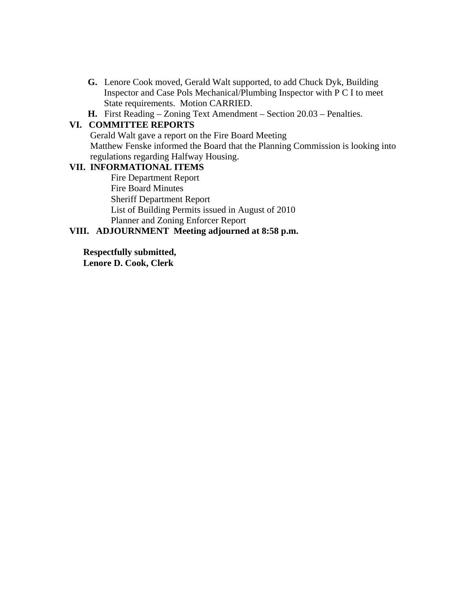**G.** Lenore Cook moved, Gerald Walt supported, to add Chuck Dyk, Building Inspector and Case Pols Mechanical/Plumbing Inspector with P C I to meet State requirements. Motion CARRIED.

**H.** First Reading – Zoning Text Amendment – Section 20.03 – Penalties.

# **VI. COMMITTEE REPORTS**

 Gerald Walt gave a report on the Fire Board Meeting Matthew Fenske informed the Board that the Planning Commission is looking into regulations regarding Halfway Housing.

# **VII. INFORMATIONAL ITEMS**

Fire Department Report Fire Board Minutes Sheriff Department Report List of Building Permits issued in August of 2010 Planner and Zoning Enforcer Report

# **VIII. ADJOURNMENT Meeting adjourned at 8:58 p.m.**

**Respectfully submitted,** 

**Lenore D. Cook, Clerk**